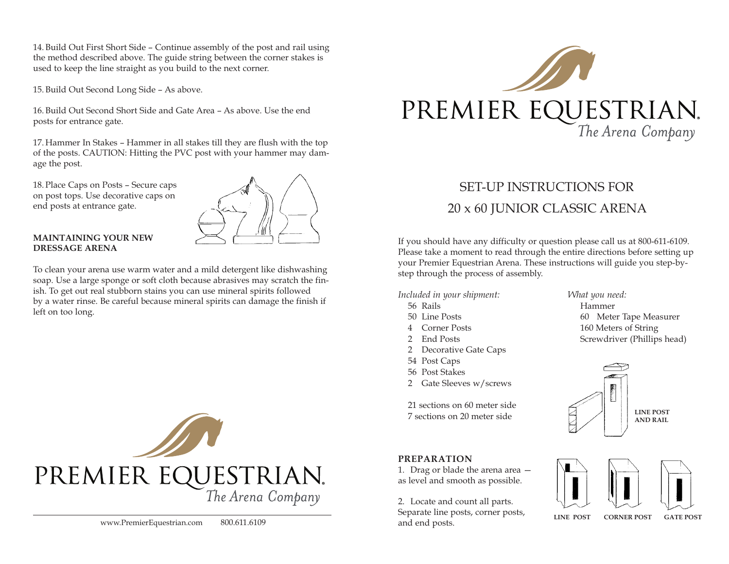14.Build Out First Short Side – Continue assembly of the post and rail using the method described above. The guide string between the corner stakes is used to keep the line straight as you build to the next corner.

15.Build Out Second Long Side – As above.

16.Build Out Second Short Side and Gate Area – As above. Use the end posts for entrance gate.

17. Hammer In Stakes – Hammer in all stakes till they are flush with the top of the posts. CAUTION: Hitting the PVC post with your hammer may damage the post.

18. Place Caps on Posts – Secure caps on post tops. Use decorative caps on end posts at entrance gate.



## **MAINTAINING YOUR NEW DRESSAGE ARENA**

To clean your arena use warm water and a mild detergent like dishwashing soap. Use a large sponge or soft cloth because abrasives may scratch the finish. To get out real stubborn stains you can use mineral spirits followed by a water rinse. Be careful because mineral spirits can damage the finish if left on too long.





# SET-UP INSTRUCTIONS FOR 20 x 60 JUNIOR CLASSIC ARENA

If you should have any difficulty or question please call us at 800-611-6109. Please take a moment to read through the entire directions before setting up your Premier Equestrian Arena. These instructions will guide you step-bystep through the process of assembly.

*Included in your shipment: What you need:*

- 
- 
- 
- 
- 2 Decorative Gate Caps
- 54 Post Caps
- 56 Post Stakes
- 2 Gate Sleeves w/screws

21 sections on 60 meter side 7 sections on 20 meter side

## **PREPARATION**

1. Drag or blade the arena area as level and smooth as possible.

2. Locate and count all parts. Separate line posts, corner posts, and end posts.

 Rails Hammer Line Posts 60 Meter Tape Measurer Corner Posts 160 Meters of String 2 End Posts Screwdriver (Phillips head)